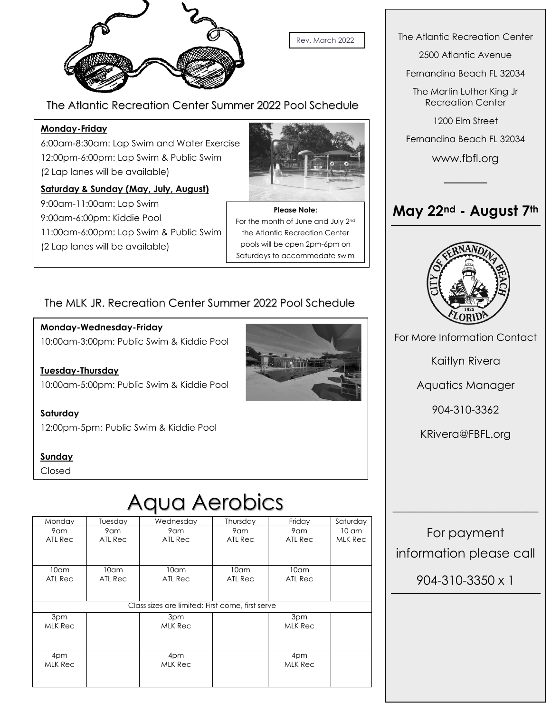

Rev. March 2022

The Atlantic Recreation Center Summer 2022 Pool Schedule

### **Monday-Friday**

6:00am-8:30am: Lap Swim and Water Exercise 12:00pm-6:00pm: Lap Swim & Public Swim (2 Lap lanes will be available)

### **Saturday & Sunday (May, July, August)**

9:00am-11:00am: Lap Swim 9:00am-6:00pm: Kiddie Pool 11:00am-6:00pm: Lap Swim & Public Swim (2 Lap lanes will be available)



**Please Note:** For the month of June and July 2nd the Atlantic Recreation Center pools will be open 2pm-6pm on Saturdays to accommodate swim

meets.<br>Meets.

### The MLK JR. Recreation Center Summer 2022 Pool Schedule

### **Monday-Wednesday-Friday**

10:00am-3:00pm: Public Swim & Kiddie Pool

**Tuesday-Thursday** 10:00am-5:00pm: Public Swim & Kiddie Pool

**Saturday** 12:00pm-5pm: Public Swim & Kiddie Pool

### **Sunday**

Closed

# Aqua Aerobics

| Monday                                           | Tuesday          | Wednesday        | Thursday         | Friday           | Saturday        |
|--------------------------------------------------|------------------|------------------|------------------|------------------|-----------------|
| 9am                                              | 9am              | 9am              | 9am              | 9am              | $10 \text{ cm}$ |
| ATL Rec                                          | ATL Rec          | ATL Rec          | ATL Rec          | ATL Rec          | MLK Rec         |
|                                                  |                  |                  |                  |                  |                 |
|                                                  |                  |                  |                  |                  |                 |
| 10 <sub>cm</sub>                                 | 10 <sub>cm</sub> | 10 <sub>cm</sub> | 10 <sub>cm</sub> | 10 <sub>cm</sub> |                 |
| ATL Rec                                          | ATL Rec          | ATL Rec          | ATL Rec          | ATL Rec          |                 |
|                                                  |                  |                  |                  |                  |                 |
|                                                  |                  |                  |                  |                  |                 |
| Class sizes are limited: First come, first serve |                  |                  |                  |                  |                 |
| 3pm                                              |                  | 3pm              |                  | 3pm              |                 |
| MLK Rec                                          |                  | MLK Rec          |                  | MLK Rec          |                 |
|                                                  |                  |                  |                  |                  |                 |
|                                                  |                  |                  |                  |                  |                 |
| 4pm                                              |                  | 4pm              |                  | 4pm              |                 |
| MLK Rec                                          |                  | MLK Rec          |                  | MLK Rec          |                 |
|                                                  |                  |                  |                  |                  |                 |
|                                                  |                  |                  |                  |                  |                 |

The Atlantic Recreation Center

2500 Atlantic Avenue

Fernandina Beach FL 32034

The Martin Luther King Jr Recreation Center

1200 Elm Street

Fernandina Beach FL 32034

www.fbfl.org

────

# **May 22nd - August 7th**



For More Information Contact

Kaitlyn Rivera

Aquatics Manager

904-310-3362

KRivera@FBFL.org

For payment information please call

 $\overline{\phantom{a}}$  , where  $\overline{\phantom{a}}$  , where  $\overline{\phantom{a}}$  , where  $\overline{\phantom{a}}$ 

904-310-3350 x 1